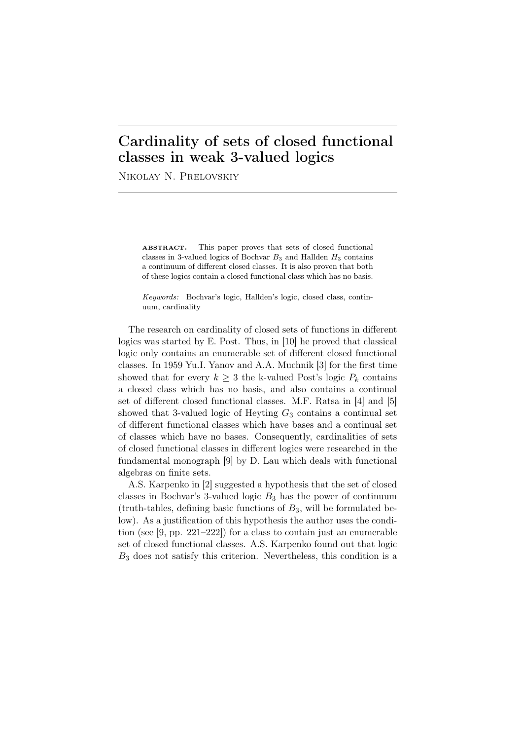## Cardinality of sets of closed functional classes in weak 3-valued logics

Nikolay N. Prelovskiy

ABSTRACT. This paper proves that sets of closed functional classes in 3-valued logics of Bochvar  $B_3$  and Hallden  $H_3$  contains a continuum of different closed classes. It is also proven that both of these logics contain a closed functional class which has no basis.

*Keywords:* Bochvar's logic, Hallden's logic, closed class, continuum, cardinality

The research on cardinality of closed sets of functions in different logics was started by E. Post. Thus, in [10] he proved that classical logic only contains an enumerable set of different closed functional classes. In 1959 Yu.I. Yanov and A.A. Muchnik [3] for the first time showed that for every  $k \geq 3$  the k-valued Post's logic  $P_k$  contains a closed class which has no basis, and also contains a continual set of different closed functional classes. M.F. Ratsa in [4] and [5] showed that 3-valued logic of Heyting *G*<sup>3</sup> contains a continual set of different functional classes which have bases and a continual set of classes which have no bases. Consequently, cardinalities of sets of closed functional classes in different logics were researched in the fundamental monograph [9] by D. Lau which deals with functional algebras on finite sets.

A.S. Karpenko in [2] suggested a hypothesis that the set of closed classes in Bochvar's 3-valued logic *B*<sup>3</sup> has the power of continuum (truth-tables, defining basic functions of *B*3, will be formulated below). As a justification of this hypothesis the author uses the condition (see [9, pp. 221–222]) for a class to contain just an enumerable set of closed functional classes. A.S. Karpenko found out that logic *B*<sup>3</sup> does not satisfy this criterion. Nevertheless, this condition is a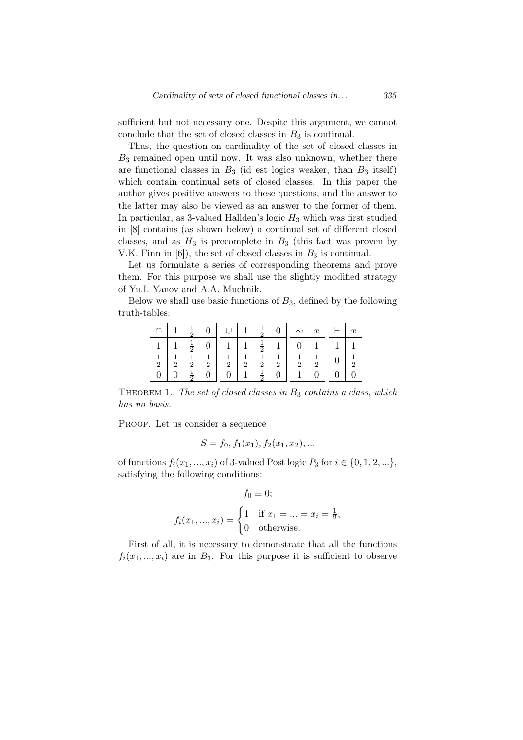sufficient but not necessary one. Despite this argument, we cannot conclude that the set of closed classes in  $B_3$  is continual.

Thus, the question on cardinality of the set of closed classes in *B*<sup>3</sup> remained open until now. It was also unknown, whether there are functional classes in  $B_3$  (id est logics weaker, than  $B_3$  itself) which contain continual sets of closed classes. In this paper the author gives positive answers to these questions, and the answer to the latter may also be viewed as an answer to the former of them. In particular, as 3-valued Hallden's logic *H*<sup>3</sup> which was first studied in [8] contains (as shown below) a continual set of different closed classes, and as  $H_3$  is precomplete in  $B_3$  (this fact was proven by V.K. Finn in  $[6]$ , the set of closed classes in  $B_3$  is continual.

Let us formulate a series of corresponding theorems and prove them. For this purpose we shall use the slightly modified strategy of Yu.I. Yanov and A.A. Muchnik.

Below we shall use basic functions of *B*3, defined by the following truth-tables:

|                                |               |                                |               |               |               | Ŧ<br>—                  |               |               | $\boldsymbol{x}$ | $\boldsymbol{x}$ |
|--------------------------------|---------------|--------------------------------|---------------|---------------|---------------|-------------------------|---------------|---------------|------------------|------------------|
|                                |               | $\frac{1}{2}$                  |               |               |               | $\pm$<br>$\overline{2}$ |               |               |                  |                  |
| $\mathbf{1}$<br>$\overline{2}$ | $\frac{1}{2}$ | $\mathbf{1}$<br>$\overline{2}$ | $\frac{1}{2}$ | $\frac{1}{2}$ | $\frac{1}{2}$ | $\frac{1}{2}$           | $\frac{1}{2}$ | $\frac{1}{2}$ | $\frac{1}{2}$    | $\frac{1}{2}$    |
|                                |               | ភ                              |               |               |               | T<br>$\overline{2}$     |               |               |                  |                  |

Theorem 1. *The set of closed classes in B*<sup>3</sup> *contains a class, which has no basis.*

PROOF. Let us consider a sequence

$$
S = f_0, f_1(x_1), f_2(x_1, x_2), \dots
$$

of functions  $f_i(x_1, ..., x_i)$  of 3-valued Post logic  $P_3$  for  $i \in \{0, 1, 2, ...\}$ , satisfying the following conditions:

$$
f_0 \equiv 0;
$$
  

$$
f_i(x_1, ..., x_i) = \begin{cases} 1 & \text{if } x_1 = ... = x_i = \frac{1}{2}; \\ 0 & \text{otherwise.} \end{cases}
$$

First of all, it is necessary to demonstrate that all the functions  $f_i(x_1, \ldots, x_i)$  are in  $B_3$ . For this purpose it is sufficient to observe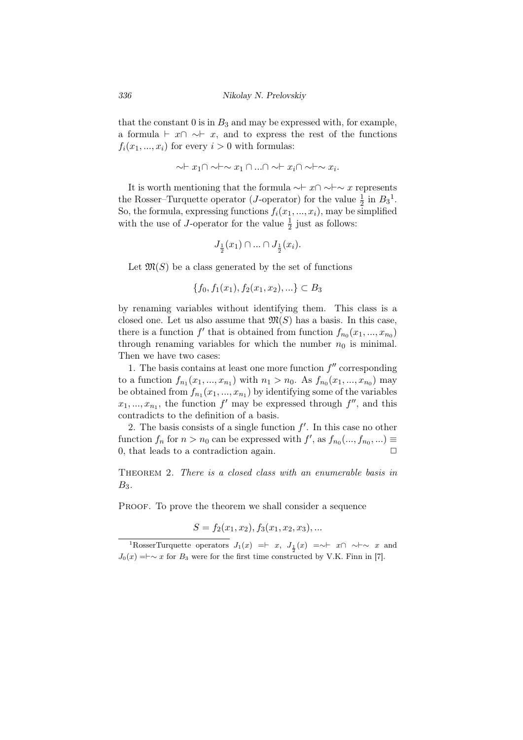that the constant  $0$  is in  $B_3$  and may be expressed with, for example, a formula *⊢*  $x \cap \neg r$ , and to express the rest of the functions  $f_i(x_1, \ldots, x_i)$  for every  $i > 0$  with formulas:

$$
\sim\vdash x_1 \cap \sim \vdash \sim x_1 \cap \ldots \cap \sim \vdash x_i \cap \sim \vdash \sim x_i.
$$

It is worth mentioning that the formula *∼⊢ x∩ ∼⊢∼ x* represents the Rosser–Turquette operator (*J*-operator) for the value  $\frac{1}{2}$  in  $B_3^1$ . So, the formula, expressing functions  $f_i(x_1, ..., x_i)$ , may be simplified with the use of *J*-operator for the value  $\frac{1}{2}$  just as follows:

$$
J_{\frac{1}{2}}(x_1) \cap \ldots \cap J_{\frac{1}{2}}(x_i).
$$

Let  $\mathfrak{M}(S)$  be a class generated by the set of functions

$$
\{f_0, f_1(x_1), f_2(x_1, x_2), \ldots\} \subset B_3
$$

by renaming variables without identifying them. This class is a closed one. Let us also assume that  $\mathfrak{M}(S)$  has a basis. In this case, there is a function  $f'$  that is obtained from function  $f_{n_0}(x_1, ..., x_{n_0})$ through renaming variables for which the number  $n_0$  is minimal. Then we have two cases:

1. The basis contains at least one more function  $f''$  corresponding to a function  $f_{n_1}(x_1, ..., x_{n_1})$  with  $n_1 > n_0$ . As  $f_{n_0}(x_1, ..., x_{n_0})$  may be obtained from  $f_{n_1}(x_1, ..., x_{n_1})$  by identifying some of the variables  $x_1, \ldots, x_{n_1}$ , the function  $f'$  may be expressed through  $f''$ , and this contradicts to the definition of a basis.

2. The basis consists of a single function *f ′* . In this case no other function  $f_n$  for  $n > n_0$  can be expressed with  $f'$ , as  $f_{n_0}(\ldots, f_{n_0}, \ldots) \equiv$ 0, that leads to a contradiction again.  $\Box$ 

Theorem 2. *There is a closed class with an enumerable basis in B*3*.*

PROOF. To prove the theorem we shall consider a sequence

$$
S = f_2(x_1, x_2), f_3(x_1, x_2, x_3), \dots
$$

<sup>&</sup>lt;sup>1</sup>RosserTurquette operators  $J_1(x)$  =*⊢ x*,  $J_{\frac{1}{2}}(x)$  =∼*⊢ x*∩ ~*⊢*  $\sim$  *x* and  $J_0(x) = \vdash \sim x$  for  $B_3$  were for the first time constructed by V.K. Finn in [7].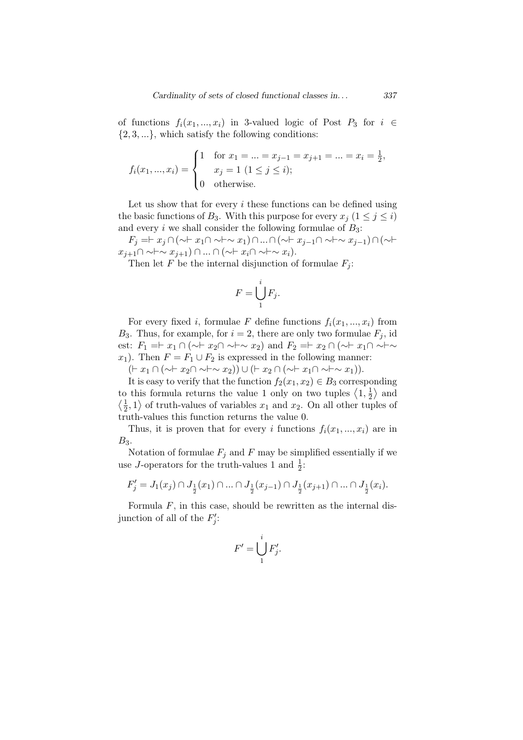of functions  $f_i(x_1, ..., x_i)$  in 3-valued logic of Post  $P_3$  for  $i \in$ *{*2*,* 3*, ...}*, which satisfy the following conditions:

$$
f_i(x_1, ..., x_i) = \begin{cases} 1 & \text{for } x_1 = ... = x_{j-1} = x_{j+1} = ... = x_i = \frac{1}{2}, \\ x_j = 1 \ (1 \le j \le i); \\ 0 & \text{otherwise.} \end{cases}
$$

Let us show that for every *i* these functions can be defined using the basic functions of *B*<sub>3</sub>. With this purpose for every  $x_j$  ( $1 \leq j \leq i$ ) and every *i* we shall consider the following formulae of  $B_3$ :

*F<sup>j</sup>* =*⊢ x<sup>j</sup> ∩*(*∼⊢ x*1*∩ ∼⊢∼ x*1)*∩...∩*(*∼⊢ xj−*1*∩ ∼⊢∼ xj−*1)*∩*(*∼⊢ xj*+1*∩ ∼⊢∼ xj*+1) *∩ ... ∩* (*∼⊢ xi∩ ∼⊢∼ xi*).

Then let *F* be the internal disjunction of formulae  $F_i$ :

$$
F=\bigcup_{1}^{i}F_{j}.
$$

For every fixed *i*, formulae *F* define functions  $f_i(x_1, \ldots, x_i)$  from *B*<sub>3</sub>. Thus, for example, for  $i = 2$ , there are only two formulae  $F_i$ , id est:  $F_1 = F_1 \cap (\sim \sim \sim x_2)$  and  $F_2 = F_2 \cap (\sim \sim \sim x_1)$ *x*<sub>1</sub>). Then  $F = F_1 \cup F_2$  is expressed in the following manner:

(*⊢ x*<sup>1</sup> *∩* (*∼⊢ x*2*∩ ∼⊢∼ x*2)) *∪* (*⊢ x*<sup>2</sup> *∩* (*∼⊢ x*1*∩ ∼⊢∼ x*1)).

It is easy to verify that the function  $f_2(x_1, x_2) \in B_3$  corresponding to this formula returns the value 1 only on two tuples  $\langle 1, \frac{1}{2} \rangle$  $\frac{1}{2}$  and  $\left\langle \frac{1}{2} \right\rangle$  $\frac{1}{2}$ , 1) of truth-values of variables *x*<sub>1</sub> and *x*<sub>2</sub>. On all other tuples of truth-values this function returns the value 0.

Thus, it is proven that for every *i* functions  $f_i(x_1, \ldots, x_i)$  are in *B*3.

Notation of formulae  $F_j$  and  $F$  may be simplified essentially if we use *J*-operators for the truth-values 1 and  $\frac{1}{2}$ :

$$
F'_j=J_1(x_j)\cap J_{\frac{1}{2}}(x_1)\cap\ldots\cap J_{\frac{1}{2}}(x_{j-1})\cap J_{\frac{1}{2}}(x_{j+1})\cap\ldots\cap J_{\frac{1}{2}}(x_i).
$$

Formula *F*, in this case, should be rewritten as the internal disjunction of all of the  $F'_{j}$ :

$$
F' = \bigcup_{1}^{i} F'_{j}.
$$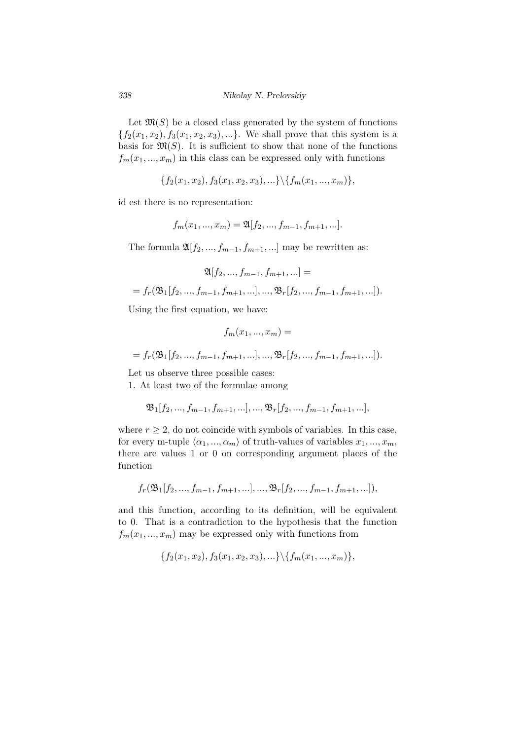Let  $\mathfrak{M}(S)$  be a closed class generated by the system of functions  ${f_2(x_1, x_2), f_3(x_1, x_2, x_3), ...}$ . We shall prove that this system is a basis for  $\mathfrak{M}(S)$ . It is sufficient to show that none of the functions  $f_m(x_1, \ldots, x_m)$  in this class can be expressed only with functions

$$
\{f_2(x_1, x_2), f_3(x_1, x_2, x_3), \ldots\} \setminus \{f_m(x_1, ..., x_m)\},\
$$

id est there is no representation:

$$
f_m(x_1, ..., x_m) = \mathfrak{A}[f_2, ..., f_{m-1}, f_{m+1}, ...].
$$

The formula  $\mathfrak{A}[f_2, ..., f_{m-1}, f_{m+1}, ...]$  may be rewritten as:

$$
\mathfrak{A}[f_2, ..., f_{m-1}, f_{m+1}, ...] =
$$
  
=  $f_r(\mathfrak{B}_1[f_2, ..., f_{m-1}, f_{m+1}, ...], ..., \mathfrak{B}_r[f_2, ..., f_{m-1}, f_{m+1}, ...]).$ 

Using the first equation, we have:

$$
f_m(x_1, ..., x_m) =
$$
  
=  $f_r(\mathfrak{B}_1[f_2, ..., f_{m-1}, f_{m+1}, ...], ..., \mathfrak{B}_r[f_2, ..., f_{m-1}, f_{m+1}, ...]).$ 

Let us observe three possible cases:

1. At least two of the formulae among

$$
\mathfrak{B}_{1}[f_{2},...,f_{m-1},f_{m+1},...],...,\mathfrak{B}_{r}[f_{2},...,f_{m-1},f_{m+1},...],
$$

where  $r \geq 2$ , do not coincide with symbols of variables. In this case, for every m-tuple  $\langle \alpha_1, ..., \alpha_m \rangle$  of truth-values of variables  $x_1, ..., x_m$ , there are values 1 or 0 on corresponding argument places of the function

$$
f_r(\mathfrak{B}_1[f_2,...,f_{m-1},f_{m+1},...],...,\mathfrak{B}_r[f_2,...,f_{m-1},f_{m+1},...]),
$$

and this function, according to its definition, will be equivalent to 0. That is a contradiction to the hypothesis that the function  $f_m(x_1, \ldots, x_m)$  may be expressed only with functions from

$$
\{f_2(x_1, x_2), f_3(x_1, x_2, x_3), \ldots\} \setminus \{f_m(x_1, ..., x_m)\},\
$$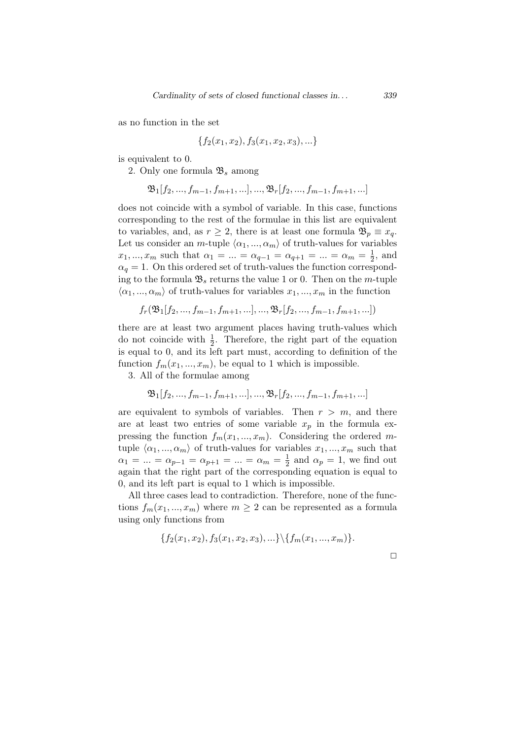as no function in the set

$$
\{f_2(x_1, x_2), f_3(x_1, x_2, x_3), \ldots\}
$$

is equivalent to 0.

2. Only one formula B*<sup>s</sup>* among

$$
\mathfrak{B}_{1}[f_{2},...,f_{m-1},f_{m+1},...],...,\mathfrak{B}_{r}[f_{2},...,f_{m-1},f_{m+1},...]
$$

does not coincide with a symbol of variable. In this case, functions corresponding to the rest of the formulae in this list are equivalent to variables, and, as  $r \geq 2$ , there is at least one formula  $\mathfrak{B}_p \equiv x_q$ . Let us consider an *m*-tuple  $\langle \alpha_1, ..., \alpha_m \rangle$  of truth-values for variables  $x_1, ..., x_m$  such that  $\alpha_1 = ... = \alpha_{q-1} = \alpha_{q+1} = ... = \alpha_m = \frac{1}{2}$  $\frac{1}{2}$ , and  $\alpha_q = 1$ . On this ordered set of truth-values the function corresponding to the formula  $\mathfrak{B}_s$  returns the value 1 or 0. Then on the *m*-tuple  $\langle \alpha_1, ..., \alpha_m \rangle$  of truth-values for variables  $x_1, ..., x_m$  in the function

$$
f_r(\mathfrak{B}_1[f_2, ..., f_{m-1}, f_{m+1}, ...], ..., \mathfrak{B}_r[f_2, ..., f_{m-1}, f_{m+1}, ...])
$$

there are at least two argument places having truth-values which do not coincide with  $\frac{1}{2}$ . Therefore, the right part of the equation is equal to 0, and its left part must, according to definition of the function  $f_m(x_1, ..., x_m)$ , be equal to 1 which is impossible.

3. All of the formulae among

$$
\mathfrak{B}_{1}[f_{2},...,f_{m-1},f_{m+1},...],...,\mathfrak{B}_{r}[f_{2},...,f_{m-1},f_{m+1},...]
$$

are equivalent to symbols of variables. Then  $r > m$ , and there are at least two entries of some variable  $x_p$  in the formula expressing the function  $f_m(x_1, ..., x_m)$ . Considering the ordered *m*tuple  $\langle \alpha_1, ..., \alpha_m \rangle$  of truth-values for variables  $x_1, ..., x_m$  such that  $\alpha_1 = ... = \alpha_{p-1} = \alpha_{p+1} = ... = \alpha_m = \frac{1}{2}$  $\frac{1}{2}$  and  $\alpha_p = 1$ , we find out again that the right part of the corresponding equation is equal to 0, and its left part is equal to 1 which is impossible.

All three cases lead to contradiction. Therefore, none of the functions  $f_m(x_1, ..., x_m)$  where  $m \geq 2$  can be represented as a formula using only functions from

$$
\{f_2(x_1, x_2), f_3(x_1, x_2, x_3), \ldots\} \setminus \{f_m(x_1, \ldots, x_m)\}.
$$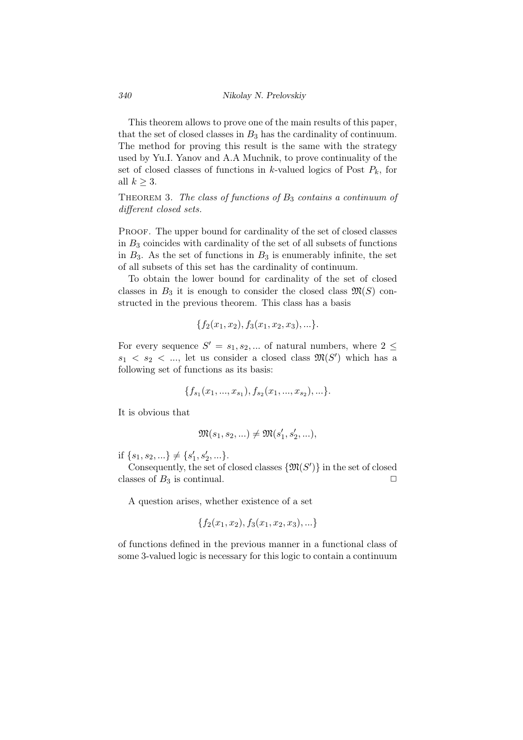This theorem allows to prove one of the main results of this paper, that the set of closed classes in  $B_3$  has the cardinality of continuum. The method for proving this result is the same with the strategy used by Yu.I. Yanov and A.A Muchnik, to prove continuality of the set of closed classes of functions in *k*-valued logics of Post  $P_k$ , for all  $k \geq 3$ .

Theorem 3. *The class of functions of B*<sup>3</sup> *contains a continuum of different closed sets.*

PROOF. The upper bound for cardinality of the set of closed classes in *B*<sup>3</sup> coincides with cardinality of the set of all subsets of functions in  $B_3$ . As the set of functions in  $B_3$  is enumerably infinite, the set of all subsets of this set has the cardinality of continuum.

To obtain the lower bound for cardinality of the set of closed classes in  $B_3$  it is enough to consider the closed class  $\mathfrak{M}(S)$  constructed in the previous theorem. This class has a basis

$$
\{f_2(x_1, x_2), f_3(x_1, x_2, x_3), \ldots\}.
$$

For every sequence  $S' = s_1, s_2, \dots$  of natural numbers, where  $2 \leq$  $s_1 \leq s_2 \leq \dots$ , let us consider a closed class  $\mathfrak{M}(S')$  which has a following set of functions as its basis:

$$
\{f_{s_1}(x_1,...,x_{s_1}), f_{s_2}(x_1,...,x_{s_2}),...\}.
$$

It is obvious that

$$
\mathfrak{M}(s_1, s_2, \ldots) \neq \mathfrak{M}(s'_1, s'_2, \ldots),
$$

if  ${s_1, s_2, \ldots} \neq {s'_1, s'_2, \ldots}.$ 

Consequently, the set of closed classes  $\{\mathfrak{M}(S')\}$  in the set of closed classes of  $B_3$  is continual.  $\Box$ 

A question arises, whether existence of a set

$$
\{f_2(x_1, x_2), f_3(x_1, x_2, x_3), \ldots\}
$$

of functions defined in the previous manner in a functional class of some 3-valued logic is necessary for this logic to contain a continuum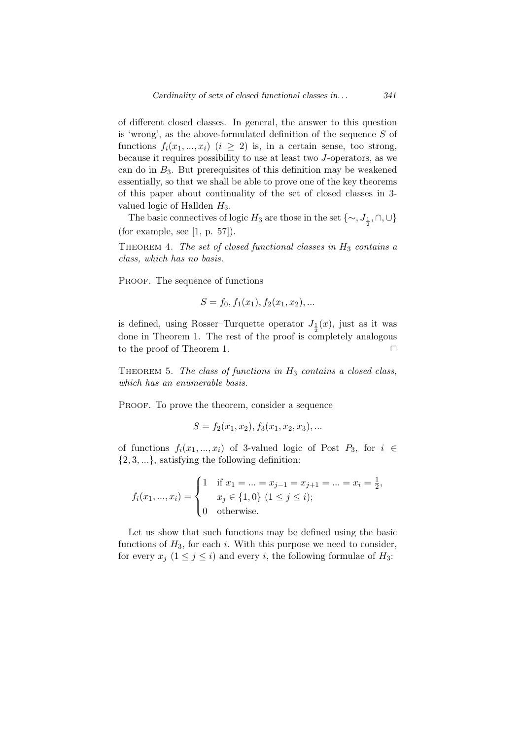of different closed classes. In general, the answer to this question is 'wrong', as the above-formulated definition of the sequence *S* of functions  $f_i(x_1, \ldots, x_i)$  ( $i \geq 2$ ) is, in a certain sense, too strong, because it requires possibility to use at least two *J*-operators, as we can do in *B*3. But prerequisites of this definition may be weakened essentially, so that we shall be able to prove one of the key theorems of this paper about continuality of the set of closed classes in 3 valued logic of Hallden *H*3.

The basic connectives of logic *H*<sub>3</sub> are those in the set  $\{\sim, J_{\frac{1}{2}}, \cap, \cup\}$ (for example, see  $[1, p. 57]$ ).

Theorem 4. *The set of closed functional classes in H*<sup>3</sup> *contains a class, which has no basis.*

PROOF. The sequence of functions

$$
S = f_0, f_1(x_1), f_2(x_1, x_2), \dots
$$

is defined, using Rosser–Turquette operator  $J_1(x)$ , just as it was 2 done in Theorem 1. The rest of the proof is completely analogous to the proof of Theorem 1.  $\Box$ 

Theorem 5. *The class of functions in H*<sup>3</sup> *contains a closed class, which has an enumerable basis.*

PROOF. To prove the theorem, consider a sequence

$$
S = f_2(x_1, x_2), f_3(x_1, x_2, x_3), \dots
$$

of functions  $f_i(x_1, ..., x_i)$  of 3-valued logic of Post  $P_3$ , for  $i \in$ *{*2*,* 3*, ...}*, satisfying the following definition:

$$
f_i(x_1, ..., x_i) = \begin{cases} 1 & \text{if } x_1 = ... = x_{j-1} = x_{j+1} = ... = x_i = \frac{1}{2}, \\ x_j \in \{1, 0\} \ (1 \le j \le i); \\ 0 & \text{otherwise.} \end{cases}
$$

Let us show that such functions may be defined using the basic functions of  $H_3$ , for each *i*. With this purpose we need to consider, for every  $x_j$  ( $1 \leq j \leq i$ ) and every *i*, the following formulae of  $H_3$ :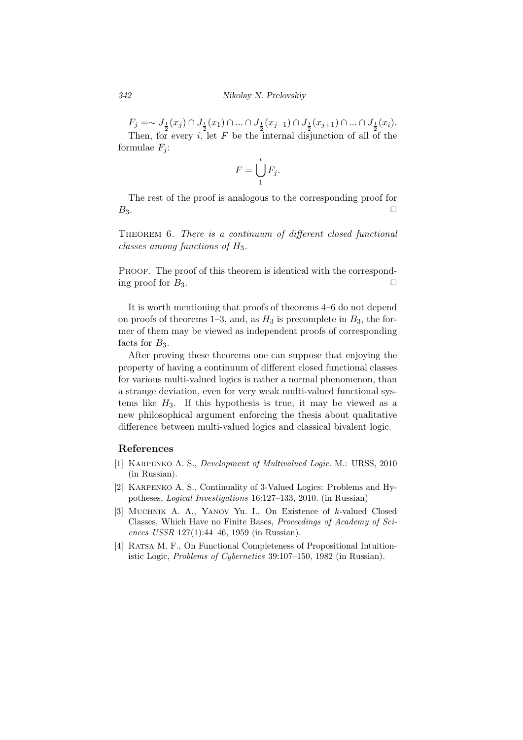$F_j = \sim J_{\frac{1}{2}}(x_j) \cap J_{\frac{1}{2}}(x_1) \cap ... \cap J_{\frac{1}{2}}(x_{j-1}) \cap J_{\frac{1}{2}}(x_{j+1}) \cap ... \cap J_{\frac{1}{2}}(x_i).$ Then, for every *i*, let *F* be the internal disjunction of all of the formulae  $F_i$ :

$$
F=\bigcup_{1}^{i}F_{j}.
$$

The rest of the proof is analogous to the corresponding proof for  $B_3.$ 

Theorem 6. *There is a continuum of different closed functional classes among functions of*  $H_3$ .

PROOF. The proof of this theorem is identical with the corresponding proof for  $B_3$ .

It is worth mentioning that proofs of theorems 4–6 do not depend on proofs of theorems 1–3, and, as  $H_3$  is precomplete in  $B_3$ , the former of them may be viewed as independent proofs of corresponding facts for  $B_3$ .

After proving these theorems one can suppose that enjoying the property of having a continuum of different closed functional classes for various multi-valued logics is rather a normal phenomenon, than a strange deviation, even for very weak multi-valued functional systems like  $H_3$ . If this hypothesis is true, it may be viewed as a new philosophical argument enforcing the thesis about qualitative difference between multi-valued logics and classical bivalent logic.

## References

- [1] Karpenko A. S., *Development of Multivalued Logic*. М.: URSS, 2010 (in Russian).
- [2] Karpenko A. S., Continuality of 3-Valued Logics: Problems and Hypotheses, *Logical Investigations* 16:127–133, 2010. (in Russian)
- [3] Muchnik A. A., Yanov Yu. I., On Existence of *k*-valued Closed Classes, Which Have no Finite Bases, *Proceedings of Academy of Sciences USSR* 127(1):44–46, 1959 (in Russian).
- [4] RATSA M. F., On Functional Completeness of Propositional Intuitionistic Logic, *Problems of Cybernetics* 39:107–150, 1982 (in Russian).